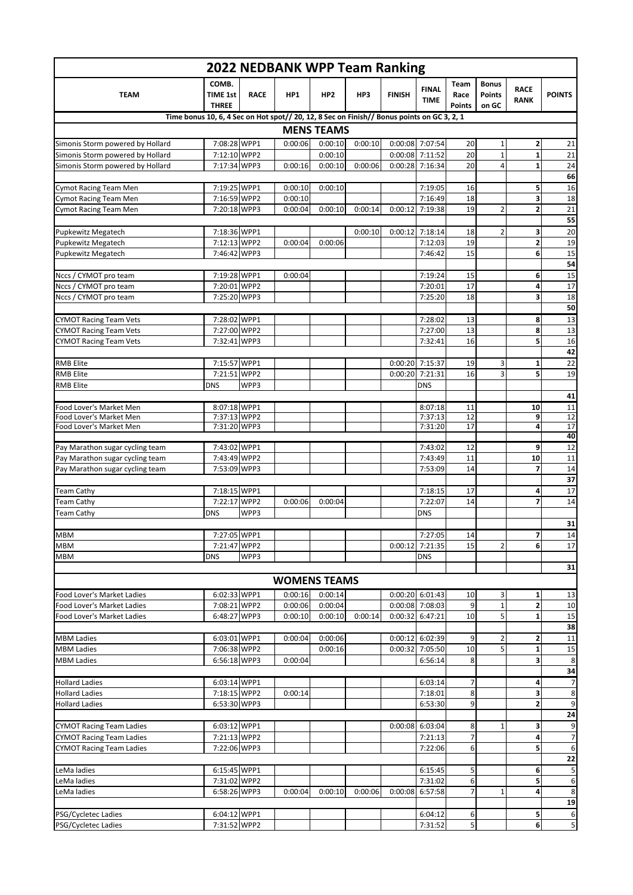| <b>2022 NEDBANK WPP Team Ranking</b>                                                       |                                          |             |                     |                    |         |               |                                    |                               |                                        |                            |                 |
|--------------------------------------------------------------------------------------------|------------------------------------------|-------------|---------------------|--------------------|---------|---------------|------------------------------------|-------------------------------|----------------------------------------|----------------------------|-----------------|
| <b>TEAM</b>                                                                                | COMB.<br><b>TIME 1st</b><br><b>THREE</b> | <b>RACE</b> | HP1                 | HP <sub>2</sub>    | HP3     | <b>FINISH</b> | FINAL<br><b>TIME</b>               | Team<br>Race<br><b>Points</b> | <b>Bonus</b><br><b>Points</b><br>on GC | <b>RACE</b><br><b>RANK</b> | <b>POINTS</b>   |
| Time bonus 10, 6, 4 Sec on Hot spot// 20, 12, 8 Sec on Finish// Bonus points on GC 3, 2, 1 |                                          |             |                     |                    |         |               |                                    |                               |                                        |                            |                 |
| <b>MENS TEAMS</b>                                                                          |                                          |             |                     |                    |         |               |                                    |                               |                                        |                            |                 |
| Simonis Storm powered by Hollard                                                           | 7:08:28 WPP1                             |             | 0:00:06             | 0:00:10            | 0:00:10 |               | 0:00:08 7:07:54                    | 20                            | 1                                      | 2                          | 21              |
| Simonis Storm powered by Hollard<br>Simonis Storm powered by Hollard                       | 7:12:10 WPP2<br>7:17:34 WPP3             |             | 0:00:16             | 0:00:10<br>0:00:10 | 0:00:06 |               | 0:00:08 7:11:52<br>0:00:28 7:16:34 | 20<br>20                      | $\mathbf 1$<br>4                       | 1<br>1                     | 21<br>24        |
|                                                                                            |                                          |             |                     |                    |         |               |                                    |                               |                                        |                            | 66              |
| Cymot Racing Team Men                                                                      | 7:19:25 WPP1                             |             | 0:00:10             | 0:00:10            |         |               | 7:19:05                            | 16                            |                                        | 5                          | 16              |
| <b>Cymot Racing Team Men</b>                                                               | 7:16:59 WPP2                             |             | 0:00:10             |                    |         |               | 7:16:49                            | 18                            |                                        | 3                          | 18              |
| <b>Cymot Racing Team Men</b>                                                               | 7:20:18 WPP3                             |             | 0:00:04             | 0:00:10            | 0:00:14 | 0:00:12       | 7:19:38                            | 19                            | 2                                      | $\overline{\mathbf{2}}$    | 21              |
| Pupkewitz Megatech                                                                         | 7:18:36 WPP1                             |             |                     |                    |         |               | 7:18:14                            | 18                            | 2                                      | 3                          | 55<br>20        |
| Pupkewitz Megatech                                                                         | 7:12:13 WPP2                             |             | 0:00:04             | 0:00:06            | 0:00:10 | 0:00:12       | 7:12:03                            | 19                            |                                        | 2                          | 19              |
| <b>Pupkewitz Megatech</b>                                                                  | 7:46:42 WPP3                             |             |                     |                    |         |               | 7:46:42                            | 15                            |                                        | 6                          | 15              |
|                                                                                            |                                          |             |                     |                    |         |               |                                    |                               |                                        |                            | 54              |
| Nccs / CYMOT pro team                                                                      | 7:19:28 WPP1                             |             | 0:00:04             |                    |         |               | 7:19:24                            | 15                            |                                        | 6                          | 15              |
| Nccs / CYMOT pro team                                                                      | 7:20:01 WPP2                             |             |                     |                    |         |               | 7:20:01                            | 17<br>18                      |                                        | 4<br>3                     | $\overline{17}$ |
| Nccs / CYMOT pro team                                                                      | 7:25:20 WPP3                             |             |                     |                    |         |               | 7:25:20                            |                               |                                        |                            | 18<br>50        |
| <b>CYMOT Racing Team Vets</b>                                                              | 7:28:02 WPP1                             |             |                     |                    |         |               | 7:28:02                            | 13                            |                                        | 8                          | 13              |
| <b>CYMOT Racing Team Vets</b>                                                              | 7:27:00 WPP2                             |             |                     |                    |         |               | 7:27:00                            | 13                            |                                        | 8                          | 13              |
| <b>CYMOT Racing Team Vets</b>                                                              | 7:32:41 WPP3                             |             |                     |                    |         |               | 7:32:41                            | 16                            |                                        | 5                          | 16              |
|                                                                                            |                                          |             |                     |                    |         |               |                                    |                               |                                        |                            | 42              |
| <b>RMB Elite</b><br><b>RMB</b> Elite                                                       | 7:15:57 WPP1<br>7:21:51 WPP2             |             |                     |                    |         |               | 0:00:20 7:15:37<br>0:00:20 7:21:31 | 19<br>16                      | 3<br>$\overline{\mathbf{3}}$           | 1<br>5                     | 22<br>19        |
| <b>RMB</b> Elite                                                                           | <b>DNS</b>                               | WPP3        |                     |                    |         |               | <b>DNS</b>                         |                               |                                        |                            |                 |
|                                                                                            |                                          |             |                     |                    |         |               |                                    |                               |                                        |                            | 41              |
| Food Lover's Market Men                                                                    | 8:07:18 WPP1                             |             |                     |                    |         |               | 8:07:18                            | 11                            |                                        | 10                         | 11              |
| Food Lover's Market Men<br>Food Lover's Market Men                                         | 7:37:13 WPP2<br>7:31:20 WPP3             |             |                     |                    |         |               | 7:37:13<br>7:31:20                 | 12<br>17                      |                                        | 9<br>4                     | 12<br>17        |
|                                                                                            |                                          |             |                     |                    |         |               |                                    |                               |                                        |                            | 40              |
| Pay Marathon sugar cycling team                                                            | 7:43:02 WPP1                             |             |                     |                    |         |               | 7:43:02                            | 12                            |                                        | 9                          | 12              |
| Pay Marathon sugar cycling team                                                            | 7:43:49 WPP2                             |             |                     |                    |         |               | 7:43:49                            | 11                            |                                        | 10                         | 11              |
| Pay Marathon sugar cycling team                                                            | 7:53:09 WPP3                             |             |                     |                    |         |               | 7:53:09                            | 14                            |                                        | $\overline{\phantom{a}}$   | 14<br>37        |
| <b>Team Cathy</b>                                                                          | 7:18:15 WPP1                             |             |                     |                    |         |               | 7:18:15                            | 17                            |                                        | 4                          | 17              |
| <b>Team Cathy</b>                                                                          | 7:22:17 WPP2                             |             | 0:00:06             | 0:00:04            |         |               | 7:22:07                            | 14                            |                                        | $\overline{z}$             | 14              |
| Team Cathy                                                                                 | <b>DNS</b>                               | WPP3        |                     |                    |         |               | <b>DNS</b>                         |                               |                                        |                            |                 |
|                                                                                            |                                          |             |                     |                    |         |               |                                    |                               |                                        |                            | 31              |
| <b>MBM</b><br><b>MBM</b>                                                                   | 7:27:05 WPP1<br>7:21:47 WPP2             |             |                     |                    |         |               | 7:27:05<br>0:00:12 7:21:35         | 14<br>15                      | $\overline{\mathbf{c}}$                | 7<br>6                     | 14<br>17        |
| <b>MBM</b>                                                                                 | dns                                      | WPP3        |                     |                    |         |               | <b>DNS</b>                         |                               |                                        |                            |                 |
|                                                                                            |                                          |             |                     |                    |         |               |                                    |                               |                                        |                            | 31              |
|                                                                                            |                                          |             | <b>WOMENS TEAMS</b> |                    |         |               |                                    |                               |                                        |                            |                 |
| Food Lover's Market Ladies                                                                 | 6:02:33 WPP1                             |             | 0:00:16             | 0:00:14            |         |               | 0:00:20 6:01:43                    | 10                            | 3                                      | 1                          | 13              |
| Food Lover's Market Ladies                                                                 | 7:08:21 WPP2                             |             | 0:00:06             | 0:00:04            |         |               | 0:00:08 7:08:03                    | 9                             | $\mathbf 1$                            | $\overline{\mathbf{2}}$    | 10              |
| Food Lover's Market Ladies                                                                 | 6:48:27 WPP3                             |             | 0:00:10             | 0:00:10            | 0:00:14 |               | 0:00:32 6:47:21                    | 10                            | 5                                      | 1                          | 15              |
| <b>MBM Ladies</b>                                                                          | 6:03:01 WPP1                             |             | 0:00:04             | 0:00:06            |         |               | 0:00:12 6:02:39                    | 9                             | $\overline{2}$                         | 2                          | 38<br>11        |
| <b>MBM Ladies</b>                                                                          | 7:06:38 WPP2                             |             |                     | 0:00:16            |         |               | 0:00:32 7:05:50                    | 10                            | 5                                      | $\mathbf{1}$               | 15              |
| <b>MBM</b> Ladies                                                                          | 6:56:18 WPP3                             |             | 0:00:04             |                    |         |               | 6:56:14                            | 8                             |                                        | 3                          | 8               |
|                                                                                            |                                          |             |                     |                    |         |               |                                    |                               |                                        |                            | 34              |
| <b>Hollard Ladies</b>                                                                      | 6:03:14 WPP1                             |             |                     |                    |         |               | 6:03:14                            | 7                             |                                        | 4                          | $\overline{7}$  |
| <b>Hollard Ladies</b><br><b>Hollard Ladies</b>                                             | 7:18:15 WPP2<br>6:53:30 WPP3             |             | 0:00:14             |                    |         |               | 7:18:01<br>6:53:30                 | 8<br>9                        |                                        | 3<br>$\overline{2}$        | 8<br>9          |
|                                                                                            |                                          |             |                     |                    |         |               |                                    |                               |                                        |                            | 24              |
| <b>CYMOT Racing Team Ladies</b>                                                            | 6:03:12 WPP1                             |             |                     |                    |         |               | 0:00:08 6:03:04                    | 8                             | $\mathbf{1}$                           | 3                          | 9               |
| <b>CYMOT Racing Team Ladies</b>                                                            | 7:21:13 WPP2                             |             |                     |                    |         |               | 7:21:13                            | $\overline{7}$                |                                        | 4                          | $\overline{7}$  |
| <b>CYMOT Racing Team Ladies</b>                                                            | 7:22:06 WPP3                             |             |                     |                    |         |               | 7:22:06                            | 6                             |                                        | 5                          | 6               |
| LeMa ladies                                                                                | 6:15:45 WPP1                             |             |                     |                    |         |               |                                    | 5                             |                                        | 6                          | 22              |
| LeMa ladies                                                                                | 7:31:02 WPP2                             |             |                     |                    |         |               | 6:15:45<br>7:31:02                 | 6                             |                                        | 5                          | 5<br>6          |
| LeMa ladies                                                                                | 6:58:26 WPP3                             |             | 0:00:04             | 0:00:10            | 0:00:06 | 0:00:08       | 6:57:58                            | 7                             | $\mathbf{1}$                           | 4                          | 8               |
|                                                                                            |                                          |             |                     |                    |         |               |                                    |                               |                                        |                            | 19              |
| PSG/Cycletec Ladies                                                                        | 6:04:12 WPP1                             |             |                     |                    |         |               | 6:04:12                            | 6                             |                                        | 5                          | 6               |
| PSG/Cycletec Ladies                                                                        | 7:31:52 WPP2                             |             |                     |                    |         |               | 7:31:52                            | 5                             |                                        | 6                          | $\mathsf{S}$    |